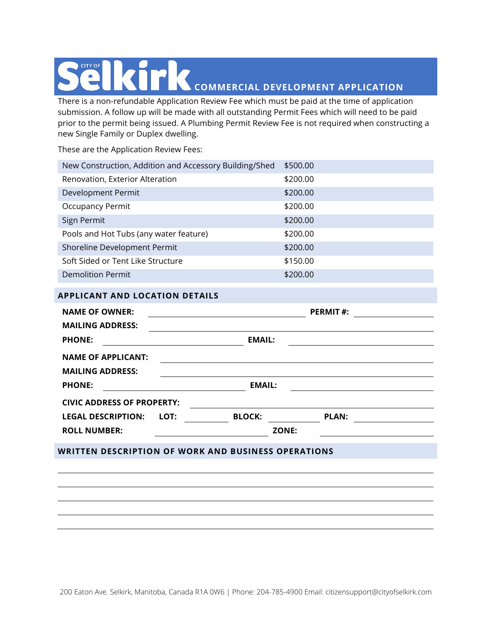## **COMMERCIAL DEVELOPMENT APPLICATION**

There is a non-refundable Application Review Fee which must be paid at the time of application submission. A follow up will be made with all outstanding Permit Fees which will need to be paid prior to the permit being issued. A Plumbing Permit Review Fee is not required when constructing a new Single Family or Duplex dwelling.

These are the Application Review Fees:

| New Construction, Addition and Accessory Building/Shed | \$500.00 |
|--------------------------------------------------------|----------|
| Renovation, Exterior Alteration                        | \$200.00 |
| Development Permit                                     | \$200.00 |
| <b>Occupancy Permit</b>                                | \$200.00 |
| Sign Permit                                            | \$200.00 |
| Pools and Hot Tubs (any water feature)                 | \$200.00 |
| Shoreline Development Permit                           | \$200.00 |
| Soft Sided or Tent Like Structure                      | \$150.00 |
| Demolition Permit                                      | \$200.00 |
| <b>APPLICANT AND LOCATION DETAILS</b>                  |          |

| <b>NAME OF OWNER:</b>             |               |               | <b>PERMIT#:</b> |  |  |
|-----------------------------------|---------------|---------------|-----------------|--|--|
| <b>MAILING ADDRESS:</b>           |               |               |                 |  |  |
| <b>PHONE:</b>                     |               | <b>EMAIL:</b> |                 |  |  |
| <b>NAME OF APPLICANT:</b>         |               |               |                 |  |  |
| <b>MAILING ADDRESS:</b>           |               |               |                 |  |  |
| <b>PHONE:</b>                     | <b>EMAIL:</b> |               |                 |  |  |
| <b>CIVIC ADDRESS OF PROPERTY:</b> |               |               |                 |  |  |
| <b>LEGAL DESCRIPTION:</b>         | LOT:          | <b>BLOCK:</b> | <b>PLAN:</b>    |  |  |
| <b>ROLL NUMBER:</b>               |               | ZONE:         |                 |  |  |
|                                   |               |               |                 |  |  |

## **WRITTEN DESCRIPTION OF WORK AND BUSINESS OPERATIONS**